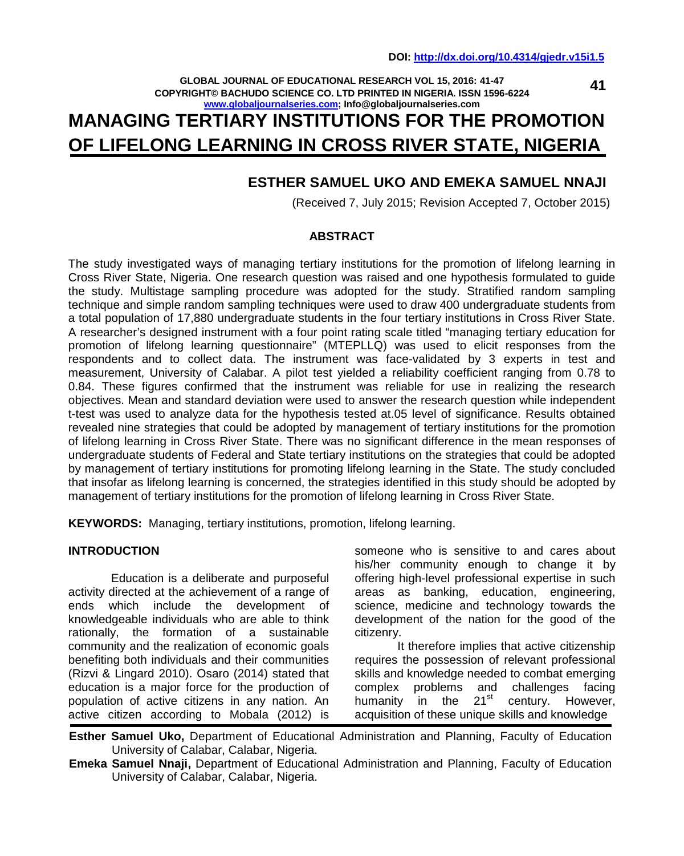**GLOBAL JOURNAL OF EDUCATIONAL RESEARCH VOL 15, 2016: 41-47 COPYRIGHT© BACHUDO SCIENCE CO. LTD PRINTED IN NIGERIA. ISSN 1596-6224 www.globaljournalseries.com; Info@globaljournalseries.com**

# **MANAGING TERTIARY INSTITUTIONS FOR THE PROMOTION OF LIFELONG LEARNING IN CROSS RIVER STATE, NIGERIA**

# **ESTHER SAMUEL UKO AND EMEKA SAMUEL NNAJI**

(Received 7, July 2015; Revision Accepted 7, October 2015)

#### **ABSTRACT**

The study investigated ways of managing tertiary institutions for the promotion of lifelong learning in Cross River State, Nigeria. One research question was raised and one hypothesis formulated to guide the study. Multistage sampling procedure was adopted for the study. Stratified random sampling technique and simple random sampling techniques were used to draw 400 undergraduate students from a total population of 17,880 undergraduate students in the four tertiary institutions in Cross River State. A researcher's designed instrument with a four point rating scale titled "managing tertiary education for promotion of lifelong learning questionnaire" (MTEPLLQ) was used to elicit responses from the respondents and to collect data. The instrument was face-validated by 3 experts in test and measurement, University of Calabar. A pilot test yielded a reliability coefficient ranging from 0.78 to 0.84. These figures confirmed that the instrument was reliable for use in realizing the research objectives. Mean and standard deviation were used to answer the research question while independent t-test was used to analyze data for the hypothesis tested at.05 level of significance. Results obtained revealed nine strategies that could be adopted by management of tertiary institutions for the promotion of lifelong learning in Cross River State. There was no significant difference in the mean responses of undergraduate students of Federal and State tertiary institutions on the strategies that could be adopted by management of tertiary institutions for promoting lifelong learning in the State. The study concluded that insofar as lifelong learning is concerned, the strategies identified in this study should be adopted by management of tertiary institutions for the promotion of lifelong learning in Cross River State.

**KEYWORDS:** Managing, tertiary institutions, promotion, lifelong learning.

# **INTRODUCTION**

Education is a deliberate and purposeful activity directed at the achievement of a range of ends which include the development of knowledgeable individuals who are able to think rationally, the formation of a sustainable community and the realization of economic goals benefiting both individuals and their communities (Rizvi & Lingard 2010). Osaro (2014) stated that education is a major force for the production of population of active citizens in any nation. An active citizen according to Mobala (2012) is

someone who is sensitive to and cares about his/her community enough to change it by offering high-level professional expertise in such areas as banking, education, engineering, science, medicine and technology towards the development of the nation for the good of the citizenry.

It therefore implies that active citizenship requires the possession of relevant professional skills and knowledge needed to combat emerging complex problems and challenges facing humanity in the 21<sup>st</sup> century. However, acquisition of these unique skills and knowledge

**Esther Samuel Uko,** Department of Educational Administration and Planning, Faculty of Education University of Calabar, Calabar, Nigeria.

**Emeka Samuel Nnaji,** Department of Educational Administration and Planning, Faculty of Education University of Calabar, Calabar, Nigeria.

**41**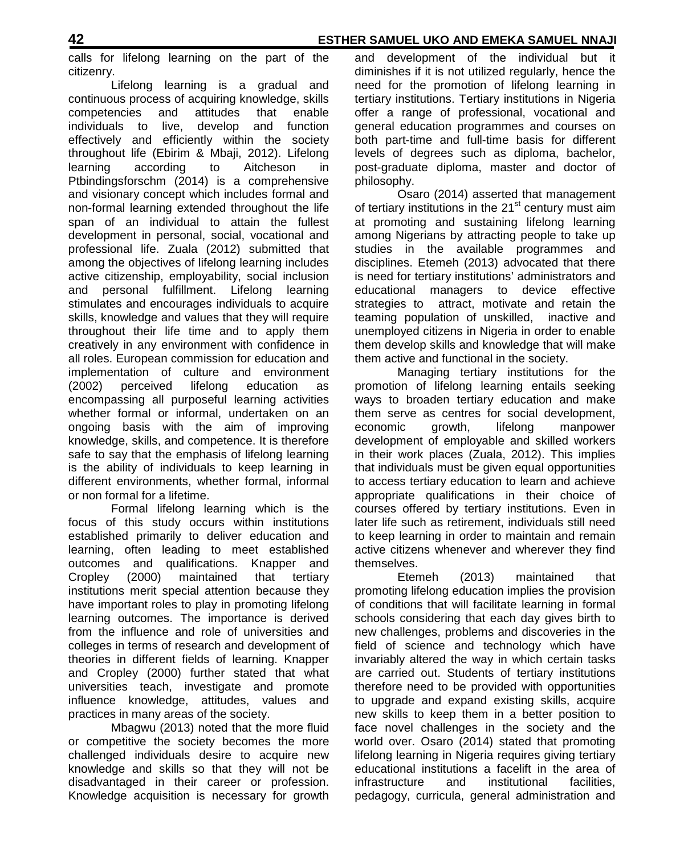calls for lifelong learning on the part of the citizenry.

Lifelong learning is a gradual and continuous process of acquiring knowledge, skills competencies and attitudes that enable individuals to live, develop and function effectively and efficiently within the society throughout life (Ebirim & Mbaji, 2012). Lifelong learning according to Aitcheson in Ptbindingsforschm (2014) is a comprehensive and visionary concept which includes formal and non-formal learning extended throughout the life span of an individual to attain the fullest development in personal, social, vocational and professional life. Zuala (2012) submitted that among the objectives of lifelong learning includes active citizenship, employability, social inclusion and personal fulfillment. Lifelong learning stimulates and encourages individuals to acquire skills, knowledge and values that they will require throughout their life time and to apply them creatively in any environment with confidence in all roles. European commission for education and implementation of culture and environment (2002) perceived lifelong education as encompassing all purposeful learning activities whether formal or informal, undertaken on an ongoing basis with the aim of improving knowledge, skills, and competence. It is therefore safe to say that the emphasis of lifelong learning is the ability of individuals to keep learning in different environments, whether formal, informal or non formal for a lifetime.

Formal lifelong learning which is the focus of this study occurs within institutions established primarily to deliver education and learning, often leading to meet established outcomes and qualifications. Knapper and Cropley (2000) maintained that tertiary institutions merit special attention because they have important roles to play in promoting lifelong learning outcomes. The importance is derived from the influence and role of universities and colleges in terms of research and development of theories in different fields of learning. Knapper and Cropley (2000) further stated that what universities teach, investigate and promote influence knowledge, attitudes, values and practices in many areas of the society.

Mbagwu (2013) noted that the more fluid or competitive the society becomes the more challenged individuals desire to acquire new knowledge and skills so that they will not be disadvantaged in their career or profession. Knowledge acquisition is necessary for growth and development of the individual but it diminishes if it is not utilized regularly, hence the need for the promotion of lifelong learning in tertiary institutions. Tertiary institutions in Nigeria offer a range of professional, vocational and general education programmes and courses on both part-time and full-time basis for different levels of degrees such as diploma, bachelor, post-graduate diploma, master and doctor of philosophy.

Osaro (2014) asserted that management of tertiary institutions in the  $21<sup>st</sup>$  century must aim at promoting and sustaining lifelong learning among Nigerians by attracting people to take up studies in the available programmes and disciplines. Etemeh (2013) advocated that there is need for tertiary institutions' administrators and educational managers to device effective strategies to attract, motivate and retain the teaming population of unskilled, inactive and unemployed citizens in Nigeria in order to enable them develop skills and knowledge that will make them active and functional in the society.

Managing tertiary institutions for the promotion of lifelong learning entails seeking ways to broaden tertiary education and make them serve as centres for social development,<br>economic qrowth, lifelong manpower growth, lifelong manpower development of employable and skilled workers in their work places (Zuala, 2012). This implies that individuals must be given equal opportunities to access tertiary education to learn and achieve appropriate qualifications in their choice of courses offered by tertiary institutions. Even in later life such as retirement, individuals still need to keep learning in order to maintain and remain active citizens whenever and wherever they find themselves.

Etemeh (2013) maintained that promoting lifelong education implies the provision of conditions that will facilitate learning in formal schools considering that each day gives birth to new challenges, problems and discoveries in the field of science and technology which have invariably altered the way in which certain tasks are carried out. Students of tertiary institutions therefore need to be provided with opportunities to upgrade and expand existing skills, acquire new skills to keep them in a better position to face novel challenges in the society and the world over. Osaro (2014) stated that promoting lifelong learning in Nigeria requires giving tertiary educational institutions a facelift in the area of infrastructure and institutional facilities, pedagogy, curricula, general administration and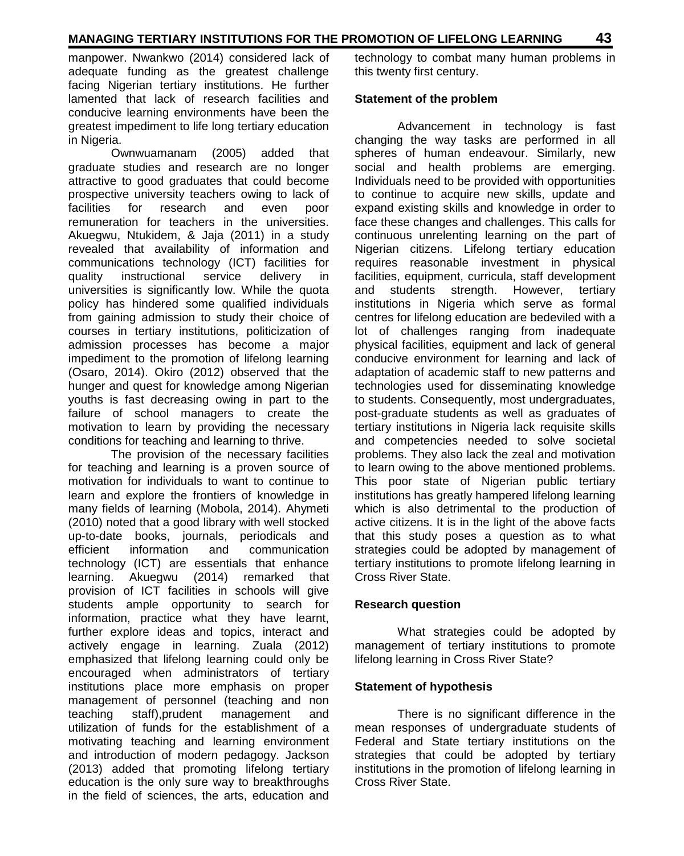manpower. Nwankwo (2014) considered lack of adequate funding as the greatest challenge facing Nigerian tertiary institutions. He further lamented that lack of research facilities and conducive learning environments have been the greatest impediment to life long tertiary education in Nigeria.

Ownwuamanam (2005) added that graduate studies and research are no longer attractive to good graduates that could become prospective university teachers owing to lack of facilities for research and even poor remuneration for teachers in the universities. Akuegwu, Ntukidem, & Jaja (2011) in a study revealed that availability of information and communications technology (ICT) facilities for quality instructional service delivery in universities is significantly low. While the quota policy has hindered some qualified individuals from gaining admission to study their choice of courses in tertiary institutions, politicization of admission processes has become a major impediment to the promotion of lifelong learning (Osaro, 2014). Okiro (2012) observed that the hunger and quest for knowledge among Nigerian youths is fast decreasing owing in part to the failure of school managers to create the motivation to learn by providing the necessary conditions for teaching and learning to thrive.

The provision of the necessary facilities for teaching and learning is a proven source of motivation for individuals to want to continue to learn and explore the frontiers of knowledge in many fields of learning (Mobola, 2014). Ahymeti (2010) noted that a good library with well stocked up-to-date books, journals, periodicals and efficient information and communication technology (ICT) are essentials that enhance learning. Akuegwu (2014) remarked that provision of ICT facilities in schools will give students ample opportunity to search for information, practice what they have learnt, further explore ideas and topics, interact and actively engage in learning. Zuala (2012) emphasized that lifelong learning could only be encouraged when administrators of tertiary institutions place more emphasis on proper management of personnel (teaching and non teaching staff),prudent management and utilization of funds for the establishment of a motivating teaching and learning environment and introduction of modern pedagogy. Jackson (2013) added that promoting lifelong tertiary education is the only sure way to breakthroughs in the field of sciences, the arts, education and technology to combat many human problems in this twenty first century.

#### **Statement of the problem**

Advancement in technology is fast changing the way tasks are performed in all spheres of human endeavour. Similarly, new social and health problems are emerging. Individuals need to be provided with opportunities to continue to acquire new skills, update and expand existing skills and knowledge in order to face these changes and challenges. This calls for continuous unrelenting learning on the part of Nigerian citizens. Lifelong tertiary education requires reasonable investment in physical facilities, equipment, curricula, staff development and students strength. However, tertiary institutions in Nigeria which serve as formal centres for lifelong education are bedeviled with a lot of challenges ranging from inadequate physical facilities, equipment and lack of general conducive environment for learning and lack of adaptation of academic staff to new patterns and technologies used for disseminating knowledge to students. Consequently, most undergraduates, post-graduate students as well as graduates of tertiary institutions in Nigeria lack requisite skills and competencies needed to solve societal problems. They also lack the zeal and motivation to learn owing to the above mentioned problems. This poor state of Nigerian public tertiary institutions has greatly hampered lifelong learning which is also detrimental to the production of active citizens. It is in the light of the above facts that this study poses a question as to what strategies could be adopted by management of tertiary institutions to promote lifelong learning in Cross River State.

#### **Research question**

What strategies could be adopted by management of tertiary institutions to promote lifelong learning in Cross River State?

#### **Statement of hypothesis**

There is no significant difference in the mean responses of undergraduate students of Federal and State tertiary institutions on the strategies that could be adopted by tertiary institutions in the promotion of lifelong learning in Cross River State.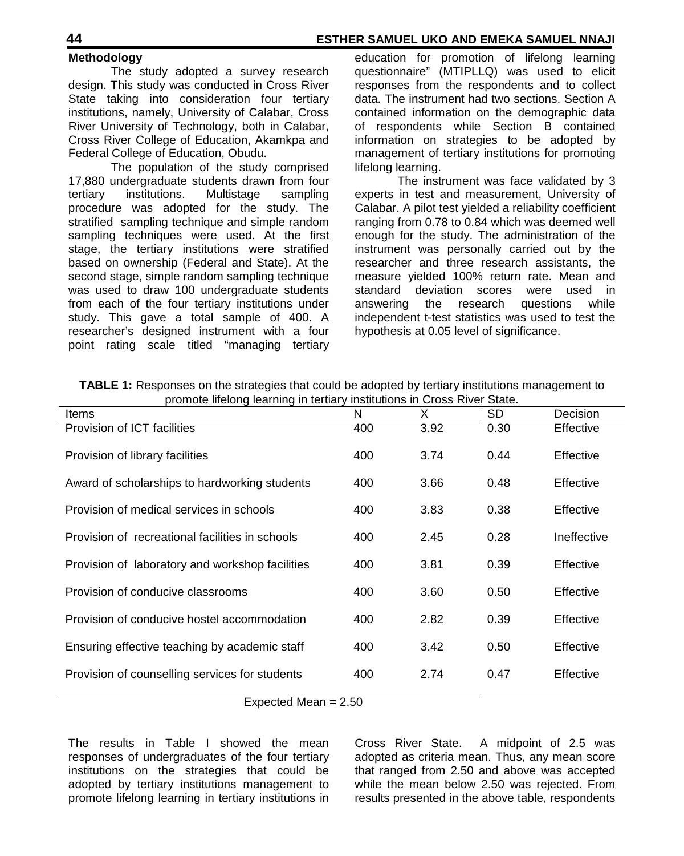#### **44 ESTHER SAMUEL UKO AND EMEKA SAMUEL NNAJI**

#### **Methodology**

The study adopted a survey research design. This study was conducted in Cross River State taking into consideration four tertiary institutions, namely, University of Calabar, Cross River University of Technology, both in Calabar, Cross River College of Education, Akamkpa and Federal College of Education, Obudu.

The population of the study comprised 17,880 undergraduate students drawn from four tertiary institutions. Multistage sampling procedure was adopted for the study. The stratified sampling technique and simple random sampling techniques were used. At the first stage, the tertiary institutions were stratified based on ownership (Federal and State). At the second stage, simple random sampling technique was used to draw 100 undergraduate students from each of the four tertiary institutions under study. This gave a total sample of 400. A researcher's designed instrument with a four point rating scale titled "managing tertiary

education for promotion of lifelong learning questionnaire" (MTIPLLQ) was used to elicit responses from the respondents and to collect data. The instrument had two sections. Section A contained information on the demographic data of respondents while Section B contained information on strategies to be adopted by management of tertiary institutions for promoting lifelong learning.

The instrument was face validated by 3 experts in test and measurement, University of Calabar. A pilot test yielded a reliability coefficient ranging from 0.78 to 0.84 which was deemed well enough for the study. The administration of the instrument was personally carried out by the researcher and three research assistants, the measure yielded 100% return rate. Mean and standard deviation scores were used in research questions while independent t-test statistics was used to test the hypothesis at 0.05 level of significance.

| Items                                           | N   | X    | SD.  | Decision         |
|-------------------------------------------------|-----|------|------|------------------|
| Provision of ICT facilities                     | 400 | 3.92 | 0.30 | <b>Effective</b> |
| Provision of library facilities                 | 400 | 3.74 | 0.44 | Effective        |
| Award of scholarships to hardworking students   | 400 | 3.66 | 0.48 | Effective        |
| Provision of medical services in schools        | 400 | 3.83 | 0.38 | Effective        |
| Provision of recreational facilities in schools | 400 | 2.45 | 0.28 | Ineffective      |
| Provision of laboratory and workshop facilities | 400 | 3.81 | 0.39 | Effective        |
| Provision of conducive classrooms               | 400 | 3.60 | 0.50 | Effective        |
| Provision of conducive hostel accommodation     | 400 | 2.82 | 0.39 | Effective        |
| Ensuring effective teaching by academic staff   | 400 | 3.42 | 0.50 | Effective        |
| Provision of counselling services for students  | 400 | 2.74 | 0.47 | Effective        |

**TABLE 1:** Responses on the strategies that could be adopted by tertiary institutions management to promote lifelong learning in tertiary institutions in Cross River State.

Expected Mean = 2.50

The results in Table I showed the mean Cross River State. responses of undergraduates of the four tertiary institutions on the strategies that could be adopted by tertiary institutions management to promote lifelong learning in tertiary institutions in

A midpoint of 2.5 was adopted as criteria mean. Thus, any mean score that ranged from 2.50 and above was accepted while the mean below 2.50 was rejected. From results presented in the above table, respondents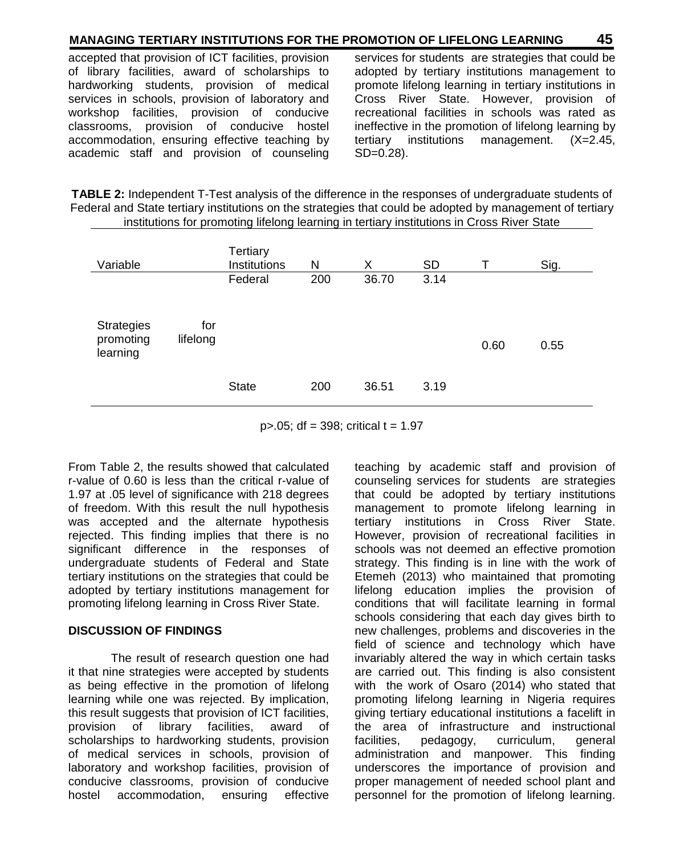# **MANAGING TERTIARY INSTITUTIONS FOR THE PROMOTION OF LIFELONG LEARNING 45**

accepted that provision of ICT facilities, provision of library facilities, award of scholarships to hardworking students, provision of medical services in schools, provision of laboratory and workshop facilities, provision of conducive classrooms, provision of conducive hostel accommodation, ensuring effective teaching by academic staff and provision of counseling

services for students are strategies that could be adopted by tertiary institutions management to promote lifelong learning in tertiary institutions in Cross River State. However, provision of recreational facilities in schools was rated as ineffective in the promotion of lifelong learning by institutions management.  $(X=2.45,$ SD=0.28).

**TABLE 2:** Independent T-Test analysis of the difference in the responses of undergraduate students of Federal and State tertiary institutions on the strategies that could be adopted by management of tertiary institutions for promoting lifelong learning in tertiary institutions in Cross River State

| Variable                            |                 | Tertiary<br>Institutions | N   | X     | <b>SD</b> |      | Sig. |
|-------------------------------------|-----------------|--------------------------|-----|-------|-----------|------|------|
|                                     |                 | Federal                  | 200 | 36.70 | 3.14      |      |      |
| Strategies<br>promoting<br>learning | for<br>lifelong |                          |     |       |           | 0.60 | 0.55 |
|                                     |                 | <b>State</b>             | 200 | 36.51 | 3.19      |      |      |

 $p > 0.05$ ; df = 398; critical t = 1.97

From Table 2, the results showed that calculated r-value of 0.60 is less than the critical r-value of 1.97 at .05 level of significance with 218 degrees of freedom. With this result the null hypothesis was accepted and the alternate hypothesis rejected. This finding implies that there is no significant difference in the responses of undergraduate students of Federal and State tertiary institutions on the strategies that could be adopted by tertiary institutions management for promoting lifelong learning in Cross River State.

#### **DISCUSSION OF FINDINGS**

The result of research question one had it that nine strategies were accepted by students as being effective in the promotion of lifelong learning while one was rejected. By implication, this result suggests that provision of ICT facilities, provision of library facilities, award of scholarships to hardworking students, provision facilities. of medical services in schools, provision of laboratory and workshop facilities, provision of conducive classrooms, provision of conducive hostel accommodation, ensuring effective

teaching by academic staff and provision of counseling services for students are strategies that could be adopted by tertiary institutions management to promote lifelong learning in tertiary institutions in Cross River State. However, provision of recreational facilities in schools was not deemed an effective promotion strategy. This finding is in line with the work of Etemeh (2013) who maintained that promoting lifelong education implies the provision of conditions that will facilitate learning in formal schools considering that each day gives birth to new challenges, problems and discoveries in the field of science and technology which have invariably altered the way in which certain tasks are carried out. This finding is also consistent with the work of Osaro (2014) who stated that promoting lifelong learning in Nigeria requires giving tertiary educational institutions a facelift in the area of infrastructure and instructional pedagogy, curriculum, general administration and manpower. This finding underscores the importance of provision and proper management of needed school plant and personnel for the promotion of lifelong learning.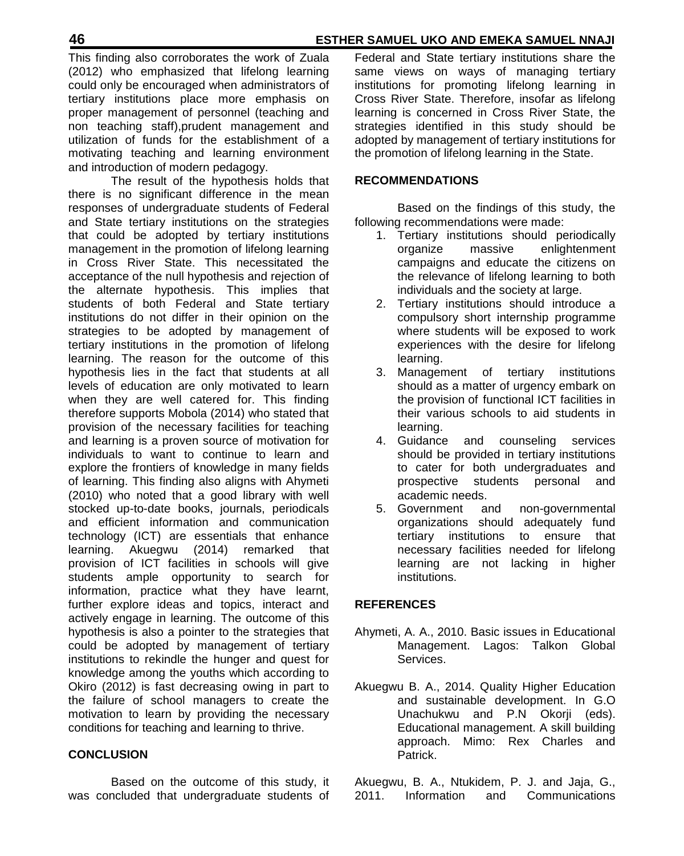This finding also corroborates the work of Zuala (2012) who emphasized that lifelong learning could only be encouraged when administrators of tertiary institutions place more emphasis on proper management of personnel (teaching and non teaching staff),prudent management and utilization of funds for the establishment of a motivating teaching and learning environment and introduction of modern pedagogy.

The result of the hypothesis holds that there is no significant difference in the mean responses of undergraduate students of Federal and State tertiary institutions on the strategies that could be adopted by tertiary institutions management in the promotion of lifelong learning in Cross River State. This necessitated the acceptance of the null hypothesis and rejection of the alternate hypothesis. This implies that students of both Federal and State tertiary institutions do not differ in their opinion on the strategies to be adopted by management of tertiary institutions in the promotion of lifelong learning. The reason for the outcome of this hypothesis lies in the fact that students at all levels of education are only motivated to learn when they are well catered for. This finding therefore supports Mobola (2014) who stated that provision of the necessary facilities for teaching and learning is a proven source of motivation for individuals to want to continue to learn and explore the frontiers of knowledge in many fields of learning. This finding also aligns with Ahymeti (2010) who noted that a good library with well stocked up-to-date books, journals, periodicals and efficient information and communication technology (ICT) are essentials that enhance learning. Akuegwu (2014) remarked that provision of ICT facilities in schools will give students ample opportunity to search for information, practice what they have learnt, further explore ideas and topics, interact and actively engage in learning. The outcome of this hypothesis is also a pointer to the strategies that could be adopted by management of tertiary institutions to rekindle the hunger and quest for knowledge among the youths which according to Okiro (2012) is fast decreasing owing in part to the failure of school managers to create the motivation to learn by providing the necessary conditions for teaching and learning to thrive.

# **CONCLUSION**

Based on the outcome of this study, it was concluded that undergraduate students of

Federal and State tertiary institutions share the same views on ways of managing tertiary institutions for promoting lifelong learning in Cross River State. Therefore, insofar as lifelong learning is concerned in Cross River State, the strategies identified in this study should be adopted by management of tertiary institutions for the promotion of lifelong learning in the State.

# **RECOMMENDATIONS**

Based on the findings of this study, the following recommendations were made:

- 1. Tertiary institutions should periodically organize massive enlightenment campaigns and educate the citizens on the relevance of lifelong learning to both individuals and the society at large.
- 2. Tertiary institutions should introduce a compulsory short internship programme where students will be exposed to work experiences with the desire for lifelong learning.
- 3. Management of tertiary institutions should as a matter of urgency embark on the provision of functional ICT facilities in their various schools to aid students in learning.
- 4. Guidance and counseling services should be provided in tertiary institutions to cater for both undergraduates and prospective students personal and academic needs.<br>5. Government a
- and non-governmental organizations should adequately fund tertiary institutions to ensure that necessary facilities needed for lifelong learning are not lacking in higher institutions.

# **REFERENCES**

- Ahymeti, A. A., 2010. Basic issues in Educational Management. Lagos: Talkon Global Services.
- Akuegwu B. A., 2014. Quality Higher Education and sustainable development. In G.O Unachukwu and P.N Okorji (eds). Educational management. A skill building approach. Mimo: Rex Charles and Patrick.

Akuegwu, B. A., Ntukidem, P. J. and Jaja, G., 2011. Information and Communications